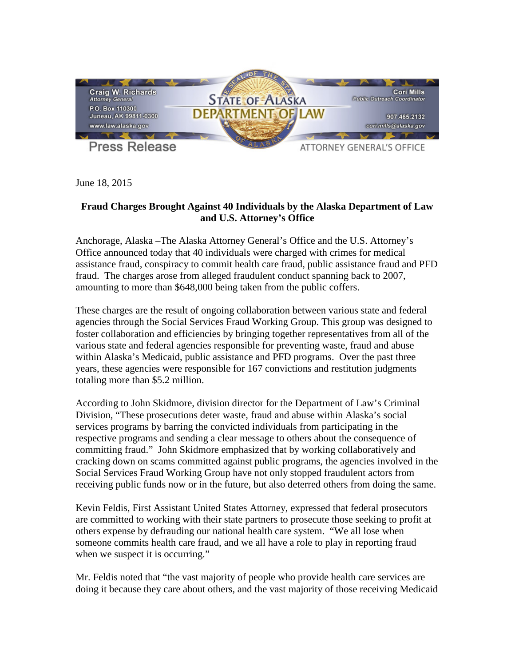

June 18, 2015

## **Fraud Charges Brought Against 40 Individuals by the Alaska Department of Law and U.S. Attorney's Office**

Anchorage, Alaska –The Alaska Attorney General's Office and the U.S. Attorney's Office announced today that 40 individuals were charged with crimes for medical assistance fraud, conspiracy to commit health care fraud, public assistance fraud and PFD fraud. The charges arose from alleged fraudulent conduct spanning back to 2007, amounting to more than \$648,000 being taken from the public coffers.

These charges are the result of ongoing collaboration between various state and federal agencies through the Social Services Fraud Working Group. This group was designed to foster collaboration and efficiencies by bringing together representatives from all of the various state and federal agencies responsible for preventing waste, fraud and abuse within Alaska's Medicaid, public assistance and PFD programs. Over the past three years, these agencies were responsible for 167 convictions and restitution judgments totaling more than \$5.2 million.

According to John Skidmore, division director for the Department of Law's Criminal Division, "These prosecutions deter waste, fraud and abuse within Alaska's social services programs by barring the convicted individuals from participating in the respective programs and sending a clear message to others about the consequence of committing fraud." John Skidmore emphasized that by working collaboratively and cracking down on scams committed against public programs, the agencies involved in the Social Services Fraud Working Group have not only stopped fraudulent actors from receiving public funds now or in the future, but also deterred others from doing the same.

Kevin Feldis, First Assistant United States Attorney, expressed that federal prosecutors are committed to working with their state partners to prosecute those seeking to profit at others expense by defrauding our national health care system. "We all lose when someone commits health care fraud, and we all have a role to play in reporting fraud when we suspect it is occurring."

Mr. Feldis noted that "the vast majority of people who provide health care services are doing it because they care about others, and the vast majority of those receiving Medicaid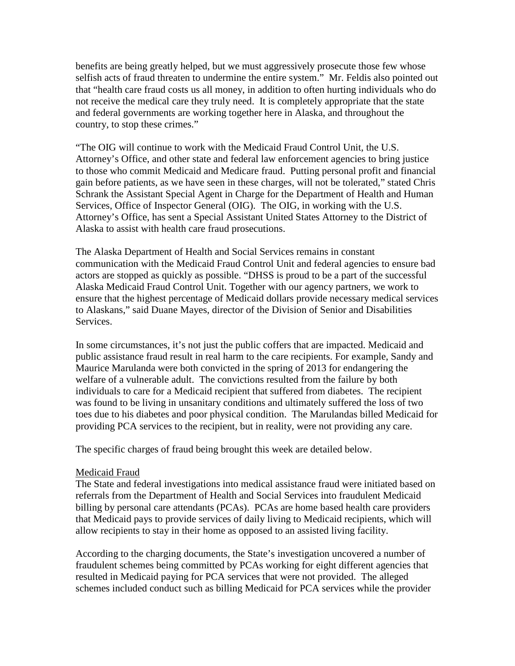benefits are being greatly helped, but we must aggressively prosecute those few whose selfish acts of fraud threaten to undermine the entire system." Mr. Feldis also pointed out that "health care fraud costs us all money, in addition to often hurting individuals who do not receive the medical care they truly need. It is completely appropriate that the state and federal governments are working together here in Alaska, and throughout the country, to stop these crimes."

"The OIG will continue to work with the Medicaid Fraud Control Unit, the U.S. Attorney's Office, and other state and federal law enforcement agencies to bring justice to those who commit Medicaid and Medicare fraud. Putting personal profit and financial gain before patients, as we have seen in these charges, will not be tolerated," stated Chris Schrank the Assistant Special Agent in Charge for the Department of Health and Human Services, Office of Inspector General (OIG). The OIG, in working with the U.S. Attorney's Office, has sent a Special Assistant United States Attorney to the District of Alaska to assist with health care fraud prosecutions.

The Alaska Department of Health and Social Services remains in constant communication with the Medicaid Fraud Control Unit and federal agencies to ensure bad actors are stopped as quickly as possible. "DHSS is proud to be a part of the successful Alaska Medicaid Fraud Control Unit. Together with our agency partners, we work to ensure that the highest percentage of Medicaid dollars provide necessary medical services to Alaskans," said Duane Mayes, director of the Division of Senior and Disabilities Services.

In some circumstances, it's not just the public coffers that are impacted. Medicaid and public assistance fraud result in real harm to the care recipients. For example, Sandy and Maurice Marulanda were both convicted in the spring of 2013 for endangering the welfare of a vulnerable adult. The convictions resulted from the failure by both individuals to care for a Medicaid recipient that suffered from diabetes. The recipient was found to be living in unsanitary conditions and ultimately suffered the loss of two toes due to his diabetes and poor physical condition. The Marulandas billed Medicaid for providing PCA services to the recipient, but in reality, were not providing any care.

The specific charges of fraud being brought this week are detailed below.

### Medicaid Fraud

The State and federal investigations into medical assistance fraud were initiated based on referrals from the Department of Health and Social Services into fraudulent Medicaid billing by personal care attendants (PCAs). PCAs are home based health care providers that Medicaid pays to provide services of daily living to Medicaid recipients, which will allow recipients to stay in their home as opposed to an assisted living facility.

According to the charging documents, the State's investigation uncovered a number of fraudulent schemes being committed by PCAs working for eight different agencies that resulted in Medicaid paying for PCA services that were not provided. The alleged schemes included conduct such as billing Medicaid for PCA services while the provider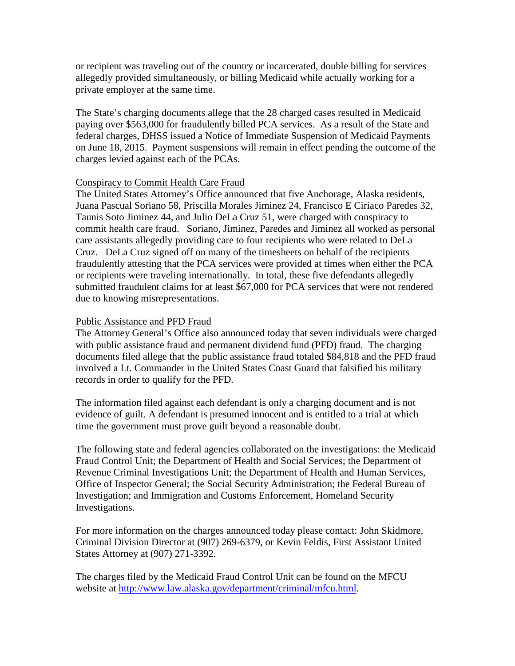or recipient was traveling out of the country or incarcerated, double billing for services allegedly provided simultaneously, or billing Medicaid while actually working for a private employer at the same time.

The State's charging documents allege that the 28 charged cases resulted in Medicaid paying over \$563,000 for fraudulently billed PCA services. As a result of the State and federal charges, DHSS issued a Notice of Immediate Suspension of Medicaid Payments on June 18, 2015. Payment suspensions will remain in effect pending the outcome of the charges levied against each of the PCAs.

### Conspiracy to Commit Health Care Fraud

The United States Attorney's Office announced that five Anchorage, Alaska residents, Juana Pascual Soriano 58, Priscilla Morales Jiminez 24, Francisco E Ciriaco Paredes 32, Taunis Soto Jiminez 44, and Julio DeLa Cruz 51, were charged with conspiracy to commit health care fraud. Soriano, Jiminez, Paredes and Jiminez all worked as personal care assistants allegedly providing care to four recipients who were related to DeLa Cruz. DeLa Cruz signed off on many of the timesheets on behalf of the recipients fraudulently attesting that the PCA services were provided at times when either the PCA or recipients were traveling internationally. In total, these five defendants allegedly submitted fraudulent claims for at least \$67,000 for PCA services that were not rendered due to knowing misrepresentations.

### Public Assistance and PFD Fraud

The Attorney General's Office also announced today that seven individuals were charged with public assistance fraud and permanent dividend fund (PFD) fraud. The charging documents filed allege that the public assistance fraud totaled \$84,818 and the PFD fraud involved a Lt. Commander in the United States Coast Guard that falsified his military records in order to qualify for the PFD.

The information filed against each defendant is only a charging document and is not evidence of guilt. A defendant is presumed innocent and is entitled to a trial at which time the government must prove guilt beyond a reasonable doubt.

The following state and federal agencies collaborated on the investigations: the Medicaid Fraud Control Unit; the Department of Health and Social Services; the Department of Revenue Criminal Investigations Unit; the Department of Health and Human Services, Office of Inspector General; the Social Security Administration; the Federal Bureau of Investigation; and Immigration and Customs Enforcement, Homeland Security Investigations.

For more information on the charges announced today please contact: John Skidmore, Criminal Division Director at (907) 269-6379, or Kevin Feldis, First Assistant United States Attorney at (907) 271-3392.

The charges filed by the Medicaid Fraud Control Unit can be found on the MFCU website at [http://www.law.alaska.gov/department/criminal/mfcu.html.](http://www.law.alaska.gov/department/criminal/mfcu.html)